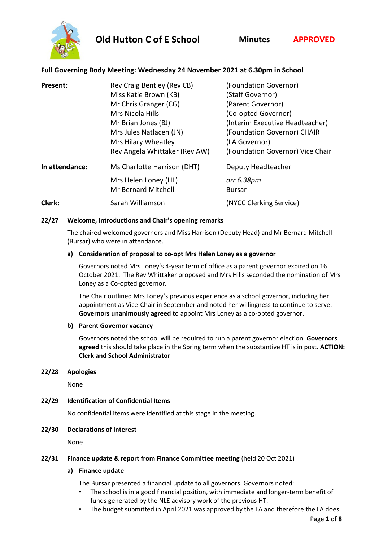**Old Hutton C of E School Minutes APPROVED**



# **Full Governing Body Meeting: Wednesday 24 November 2021 at 6.30pm in School**

| Present:       | Rev Craig Bentley (Rev CB)<br>Miss Katie Brown (KB)<br>Mr Chris Granger (CG)<br>Mrs Nicola Hills<br>Mr Brian Jones (BJ)<br>Mrs Jules Natlacen (JN)<br>Mrs Hilary Wheatley<br>Rev Angela Whittaker (Rev AW) | (Foundation Governor)<br>(Staff Governor)<br>(Parent Governor)<br>(Co-opted Governor)<br>(Interim Executive Headteacher)<br>(Foundation Governor) CHAIR<br>(LA Governor)<br>(Foundation Governor) Vice Chair |
|----------------|------------------------------------------------------------------------------------------------------------------------------------------------------------------------------------------------------------|--------------------------------------------------------------------------------------------------------------------------------------------------------------------------------------------------------------|
| In attendance: | Ms Charlotte Harrison (DHT)<br>Mrs Helen Loney (HL)                                                                                                                                                        | Deputy Headteacher<br>arr 6.38pm                                                                                                                                                                             |
| Clerk:         | <b>Mr Bernard Mitchell</b><br>Sarah Williamson                                                                                                                                                             | <b>Bursar</b><br>(NYCC Clerking Service)                                                                                                                                                                     |

## **22/27 Welcome, Introductions and Chair's opening remarks**

The chaired welcomed governors and Miss Harrison (Deputy Head) and Mr Bernard Mitchell (Bursar) who were in attendance.

## **a) Consideration of proposal to co-opt Mrs Helen Loney as a governor**

Governors noted Mrs Loney's 4-year term of office as a parent governor expired on 16 October 2021. The Rev Whittaker proposed and Mrs Hills seconded the nomination of Mrs Loney as a Co-opted governor.

The Chair outlined Mrs Loney's previous experience as a school governor, including her appointment as Vice-Chair in September and noted her willingness to continue to serve. **Governors unanimously agreed** to appoint Mrs Loney as a co-opted governor.

## **b) Parent Governor vacancy**

Governors noted the school will be required to run a parent governor election. **Governors agreed** this should take place in the Spring term when the substantive HT is in post. **ACTION: Clerk and School Administrator**

## **22/28 Apologies**

None

# **22/29 Identification of Confidential Items**

No confidential items were identified at this stage in the meeting.

# **22/30 Declarations of Interest**

None

## **22/31 Finance update & report from Finance Committee meeting** (held 20 Oct 2021)

# **a) Finance update**

The Bursar presented a financial update to all governors. Governors noted:

- The school is in a good financial position, with immediate and longer-term benefit of funds generated by the NLE advisory work of the previous HT.
- The budget submitted in April 2021 was approved by the LA and therefore the LA does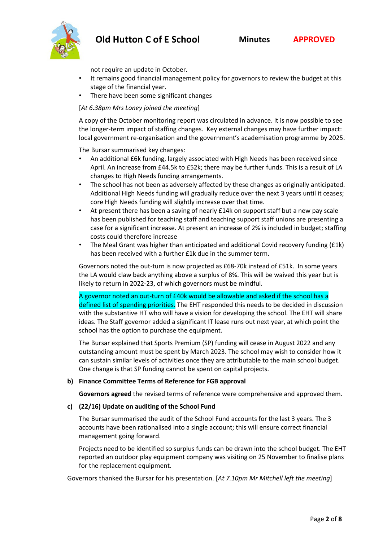# **Old Hutton C of E School Minutes APPROVED**



not require an update in October.

- It remains good financial management policy for governors to review the budget at this stage of the financial year.
- There have been some significant changes

## [*At 6.38pm Mrs Loney joined the meeting*]

A copy of the October monitoring report was circulated in advance. It is now possible to see the longer-term impact of staffing changes. Key external changes may have further impact: local government re-organisation and the government's academisation programme by 2025.

The Bursar summarised key changes:

- An additional £6k funding, largely associated with High Needs has been received since April. An increase from £44.5k to £52k; there may be further funds. This is a result of LA changes to High Needs funding arrangements.
- The school has not been as adversely affected by these changes as originally anticipated. Additional High Needs funding will gradually reduce over the next 3 years until it ceases; core High Needs funding will slightly increase over that time.
- At present there has been a saving of nearly £14k on support staff but a new pay scale has been published for teaching staff and teaching support staff unions are presenting a case for a significant increase. At present an increase of 2% is included in budget; staffing costs could therefore increase
- The Meal Grant was higher than anticipated and additional Covid recovery funding (£1k) has been received with a further £1k due in the summer term.

Governors noted the out-turn is now projected as £68-70k instead of £51k. In some years the LA would claw back anything above a surplus of 8%. This will be waived this year but is likely to return in 2022-23, of which governors must be mindful.

A governor noted an out-turn of £40k would be allowable and asked if the school has a defined list of spending priorities. The EHT responded this needs to be decided in discussion with the substantive HT who will have a vision for developing the school. The EHT will share ideas. The Staff governor added a significant IT lease runs out next year, at which point the school has the option to purchase the equipment.

The Bursar explained that Sports Premium (SP) funding will cease in August 2022 and any outstanding amount must be spent by March 2023. The school may wish to consider how it can sustain similar levels of activities once they are attributable to the main school budget. One change is that SP funding cannot be spent on capital projects.

## **b) Finance Committee Terms of Reference for FGB approval**

**Governors agreed** the revised terms of reference were comprehensive and approved them.

## **c) (22/16) Update on auditing of the School Fund**

The Bursar summarised the audit of the School Fund accounts for the last 3 years. The 3 accounts have been rationalised into a single account; this will ensure correct financial management going forward.

Projects need to be identified so surplus funds can be drawn into the school budget. The EHT reported an outdoor play equipment company was visiting on 25 November to finalise plans for the replacement equipment.

Governors thanked the Bursar for his presentation. [*At 7.10pm Mr Mitchell left the meeting*]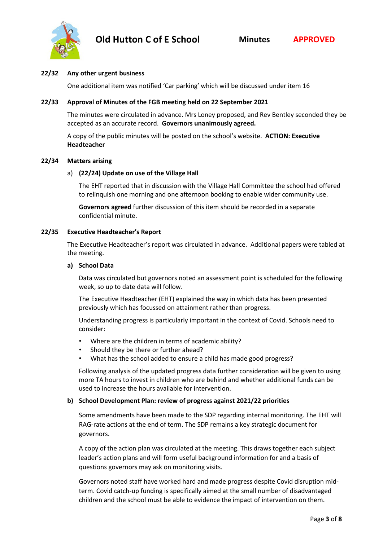

## **22/32 Any other urgent business**

One additional item was notified 'Car parking' which will be discussed under item 16

#### **22/33 Approval of Minutes of the FGB meeting held on 22 September 2021**

The minutes were circulated in advance. Mrs Loney proposed, and Rev Bentley seconded they be accepted as an accurate record. **Governors unanimously agreed.**

A copy of the public minutes will be posted on the school's website. **ACTION: Executive Headteacher**

#### **22/34 Matters arising**

#### a) **(22/24) Update on use of the Village Hall**

The EHT reported that in discussion with the Village Hall Committee the school had offered to relinquish one morning and one afternoon booking to enable wider community use.

**Governors agreed** further discussion of this item should be recorded in a separate confidential minute.

#### **22/35 Executive Headteacher's Report**

The Executive Headteacher's report was circulated in advance. Additional papers were tabled at the meeting.

#### **a) School Data**

Data was circulated but governors noted an assessment point is scheduled for the following week, so up to date data will follow.

The Executive Headteacher (EHT) explained the way in which data has been presented previously which has focussed on attainment rather than progress.

Understanding progress is particularly important in the context of Covid. Schools need to consider:

- Where are the children in terms of academic ability?
- Should they be there or further ahead?
- What has the school added to ensure a child has made good progress?

Following analysis of the updated progress data further consideration will be given to using more TA hours to invest in children who are behind and whether additional funds can be used to increase the hours available for intervention.

## **b) School Development Plan: review of progress against 2021/22 priorities**

Some amendments have been made to the SDP regarding internal monitoring. The EHT will RAG-rate actions at the end of term. The SDP remains a key strategic document for governors.

A copy of the action plan was circulated at the meeting. This draws together each subject leader's action plans and will form useful background information for and a basis of questions governors may ask on monitoring visits.

Governors noted staff have worked hard and made progress despite Covid disruption midterm. Covid catch-up funding is specifically aimed at the small number of disadvantaged children and the school must be able to evidence the impact of intervention on them.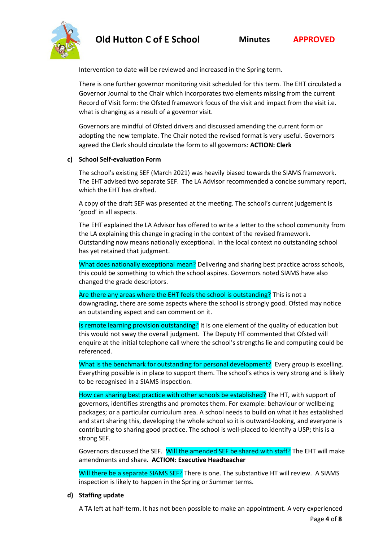# **Old Hutton C of E School Minutes APPROVED**



Intervention to date will be reviewed and increased in the Spring term.

There is one further governor monitoring visit scheduled for this term. The EHT circulated a Governor Journal to the Chair which incorporates two elements missing from the current Record of Visit form: the Ofsted framework focus of the visit and impact from the visit i.e. what is changing as a result of a governor visit.

Governors are mindful of Ofsted drivers and discussed amending the current form or adopting the new template. The Chair noted the revised format is very useful. Governors agreed the Clerk should circulate the form to all governors: **ACTION: Clerk**

# **c) School Self-evaluation Form**

The school's existing SEF (March 2021) was heavily biased towards the SIAMS framework. The EHT advised two separate SEF. The LA Advisor recommended a concise summary report, which the EHT has drafted.

A copy of the draft SEF was presented at the meeting. The school's current judgement is 'good' in all aspects.

The EHT explained the LA Advisor has offered to write a letter to the school community from the LA explaining this change in grading in the context of the revised framework. Outstanding now means nationally exceptional. In the local context no outstanding school has yet retained that judgment.

What does nationally exceptional mean? Delivering and sharing best practice across schools, this could be something to which the school aspires. Governors noted SIAMS have also changed the grade descriptors.

Are there any areas where the EHT feels the school is outstanding? This is not a downgrading, there are some aspects where the school is strongly good. Ofsted may notice an outstanding aspect and can comment on it.

Is remote learning provision outstanding? It is one element of the quality of education but this would not sway the overall judgment. The Deputy HT commented that Ofsted will enquire at the initial telephone call where the school's strengths lie and computing could be referenced.

What is the benchmark for outstanding for personal development? Every group is excelling. Everything possible is in place to support them. The school's ethos is very strong and is likely to be recognised in a SIAMS inspection.

How can sharing best practice with other schools be established? The HT, with support of governors, identifies strengths and promotes them. For example: behaviour or wellbeing packages; or a particular curriculum area. A school needs to build on what it has established and start sharing this, developing the whole school so it is outward-looking, and everyone is contributing to sharing good practice. The school is well-placed to identify a USP; this is a strong SEF.

Governors discussed the SEF. Will the amended SEF be shared with staff? The EHT will make amendments and share. **ACTION: Executive Headteacher**

Will there be a separate SIAMS SEF? There is one. The substantive HT will review. A SIAMS inspection is likely to happen in the Spring or Summer terms.

# **d) Staffing update**

A TA left at half-term. It has not been possible to make an appointment. A very experienced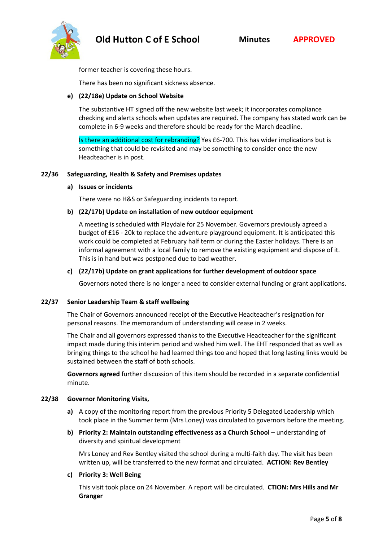



former teacher is covering these hours.

There has been no significant sickness absence.

## **e) (22/18e) Update on School Website**

The substantive HT signed off the new website last week; it incorporates compliance checking and alerts schools when updates are required. The company has stated work can be complete in 6-9 weeks and therefore should be ready for the March deadline.

Is there an additional cost for rebranding? Yes £6-700. This has wider implications but is something that could be revisited and may be something to consider once the new Headteacher is in post.

## **22/36 Safeguarding, Health & Safety and Premises updates**

## **a) Issues or incidents**

There were no H&S or Safeguarding incidents to report.

## **b) (22/17b) Update on installation of new outdoor equipment**

A meeting is scheduled with Playdale for 25 November. Governors previously agreed a budget of £16 - 20k to replace the adventure playground equipment. It is anticipated this work could be completed at February half term or during the Easter holidays. There is an informal agreement with a local family to remove the existing equipment and dispose of it. This is in hand but was postponed due to bad weather.

## **c) (22/17b) Update on grant applications for further development of outdoor space**

Governors noted there is no longer a need to consider external funding or grant applications.

## **22/37 Senior Leadership Team & staff wellbeing**

The Chair of Governors announced receipt of the Executive Headteacher's resignation for personal reasons. The memorandum of understanding will cease in 2 weeks.

The Chair and all governors expressed thanks to the Executive Headteacher for the significant impact made during this interim period and wished him well. The EHT responded that as well as bringing things to the school he had learned things too and hoped that long lasting links would be sustained between the staff of both schools.

**Governors agreed** further discussion of this item should be recorded in a separate confidential minute.

## **22/38 Governor Monitoring Visits,**

- **a)** A copy of the monitoring report from the previous Priority 5 Delegated Leadership which took place in the Summer term (Mrs Loney) was circulated to governors before the meeting.
- **b) Priority 2: Maintain outstanding effectiveness as a Church School** understanding of diversity and spiritual development

Mrs Loney and Rev Bentley visited the school during a multi-faith day. The visit has been written up, will be transferred to the new format and circulated. **ACTION: Rev Bentley**

## **c) Priority 3: Well Being**

This visit took place on 24 November. A report will be circulated. **CTION: Mrs Hills and Mr Granger**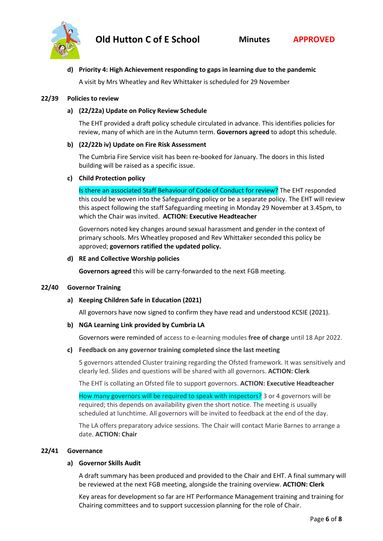

## **d) Priority 4: High Achievement responding to gaps in learning due to the pandemic**

A visit by Mrs Wheatley and Rev Whittaker is scheduled for 29 November

#### **22/39 Policies to review**

#### **a) (22/22a) Update on Policy Review Schedule**

The EHT provided a draft policy schedule circulated in advance. This identifies policies for review, many of which are in the Autumn term. **Governors agreed** to adopt this schedule.

#### **b) (22/22b iv) Update on Fire Risk Assessment**

The Cumbria Fire Service visit has been re-booked for January. The doors in this listed building will be raised as a specific issue.

#### **c) Child Protection policy**

Is there an associated Staff Behaviour of Code of Conduct for review? The EHT responded this could be woven into the Safeguarding policy or be a separate policy. The EHT will review this aspect following the staff Safeguarding meeting in Monday 29 November at 3.45pm, to which the Chair was invited. **ACTION: Executive Headteacher**

Governors noted key changes around sexual harassment and gender in the context of primary schools. Mrs Wheatley proposed and Rev Whittaker seconded this policy be approved; **governors ratified the updated policy.**

#### **d) RE and Collective Worship policies**

**Governors agreed** this will be carry-forwarded to the next FGB meeting.

#### **22/40 Governor Training**

## **a) Keeping Children Safe in Education (2021)**

All governors have now signed to confirm they have read and understood KCSIE (2021).

#### **b) NGA Learning Link provided by Cumbria LA**

Governors were reminded of access to e-learning modules **free of charge** until 18 Apr 2022.

#### **c) Feedback on any governor training completed since the last meeting**

5 governors attended Cluster training regarding the Ofsted framework. It was sensitively and clearly led. Slides and questions will be shared with all governors. **ACTION: Clerk**

The EHT is collating an Ofsted file to support governors. **ACTION: Executive Headteacher** 

How many governors will be required to speak with inspectors? 3 or 4 governors will be required; this depends on availability given the short notice. The meeting is usually scheduled at lunchtime. All governors will be invited to feedback at the end of the day.

The LA offers preparatory advice sessions. The Chair will contact Marie Barnes to arrange a date. **ACTION: Chair**

#### **22/41 Governance**

#### **a) Governor Skills Audit**

A draft summary has been produced and provided to the Chair and EHT. A final summary will be reviewed at the next FGB meeting, alongside the training overview. **ACTION: Clerk**

Key areas for development so far are HT Performance Management training and training for Chairing committees and to support succession planning for the role of Chair.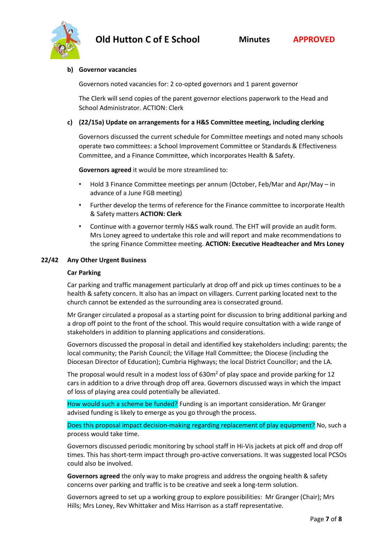

#### **b) Governor vacancies**

Governors noted vacancies for: 2 co-opted governors and 1 parent governor

The Clerk will send copies of the parent governor elections paperwork to the Head and School Administrator. ACTION: Clerk

## **c) (22/15a) Update on arrangements for a H&S Committee meeting, including clerking**

Governors discussed the current schedule for Committee meetings and noted many schools operate two committees: a School Improvement Committee or Standards & Effectiveness Committee, and a Finance Committee, which incorporates Health & Safety.

**Governors agreed** it would be more streamlined to:

- Hold 3 Finance Committee meetings per annum (October, Feb/Mar and Apr/May in advance of a June FGB meeting)
- Further develop the terms of reference for the Finance committee to incorporate Health & Safety matters **ACTION: Clerk**
- Continue with a governor termly H&S walk round. The EHT will provide an audit form. Mrs Loney agreed to undertake this role and will report and make recommendations to the spring Finance Committee meeting. **ACTION: Executive Headteacher and Mrs Loney**

#### **22/42 Any Other Urgent Business**

#### **Car Parking**

Car parking and traffic management particularly at drop off and pick up times continues to be a health & safety concern. It also has an impact on villagers. Current parking located next to the church cannot be extended as the surrounding area is consecrated ground.

Mr Granger circulated a proposal as a starting point for discussion to bring additional parking and a drop off point to the front of the school. This would require consultation with a wide range of stakeholders in addition to planning applications and considerations.

Governors discussed the proposal in detail and identified key stakeholders including: parents; the local community; the Parish Council; the Village Hall Committee; the Diocese (including the Diocesan Director of Education); Cumbria Highways; the local District Councillor; and the LA.

The proposal would result in a modest loss of 630m<sup>2</sup> of play space and provide parking for 12 cars in addition to a drive through drop off area. Governors discussed ways in which the impact of loss of playing area could potentially be alleviated.

How would such a scheme be funded? Funding is an important consideration. Mr Granger advised funding is likely to emerge as you go through the process.

Does this proposal impact decision-making regarding replacement of play equipment? No, such a process would take time.

Governors discussed periodic monitoring by school staff in Hi-Vis jackets at pick off and drop off times. This has short-term impact through pro-active conversations. It was suggested local PCSOs could also be involved.

**Governors agreed** the only way to make progress and address the ongoing health & safety concerns over parking and traffic is to be creative and seek a long-term solution.

Governors agreed to set up a working group to explore possibilities: Mr Granger (Chair); Mrs Hills; Mrs Loney, Rev Whittaker and Miss Harrison as a staff representative.